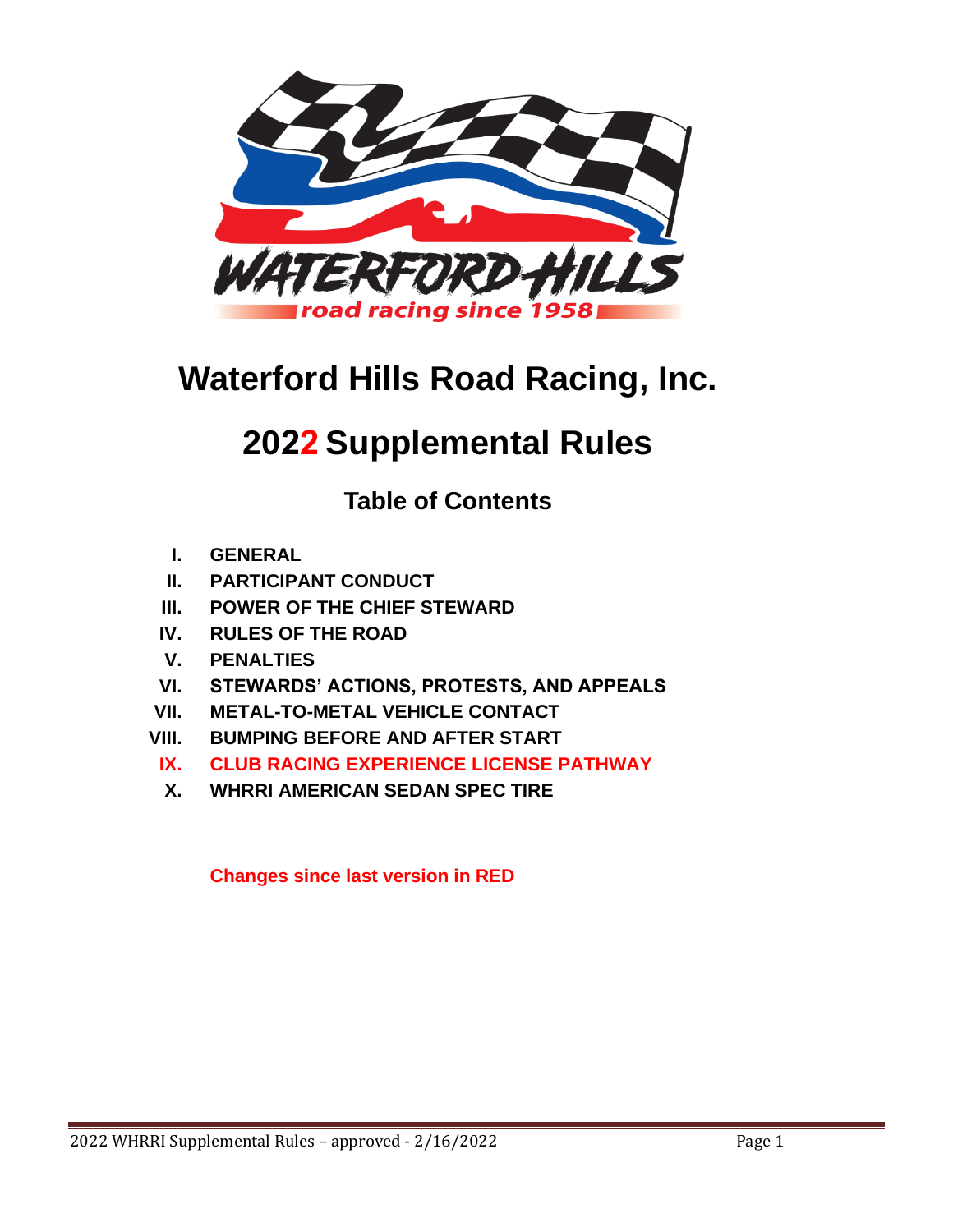

# **Waterford Hills Road Racing, Inc.**

# **2022 Supplemental Rules**

**Table of Contents**

- **I. GENERAL**
- **II. PARTICIPANT CONDUCT**
- **III. POWER OF THE CHIEF STEWARD**
- **IV. RULES OF THE ROAD**
- **V. PENALTIES**
- **VI. STEWARDS' ACTIONS, PROTESTS, AND APPEALS**
- **VII. METAL-TO-METAL VEHICLE CONTACT**
- **VIII. BUMPING BEFORE AND AFTER START**
- **IX. CLUB RACING EXPERIENCE LICENSE PATHWAY**
- **X. WHRRI AMERICAN SEDAN SPEC TIRE**

**Changes since last version in RED**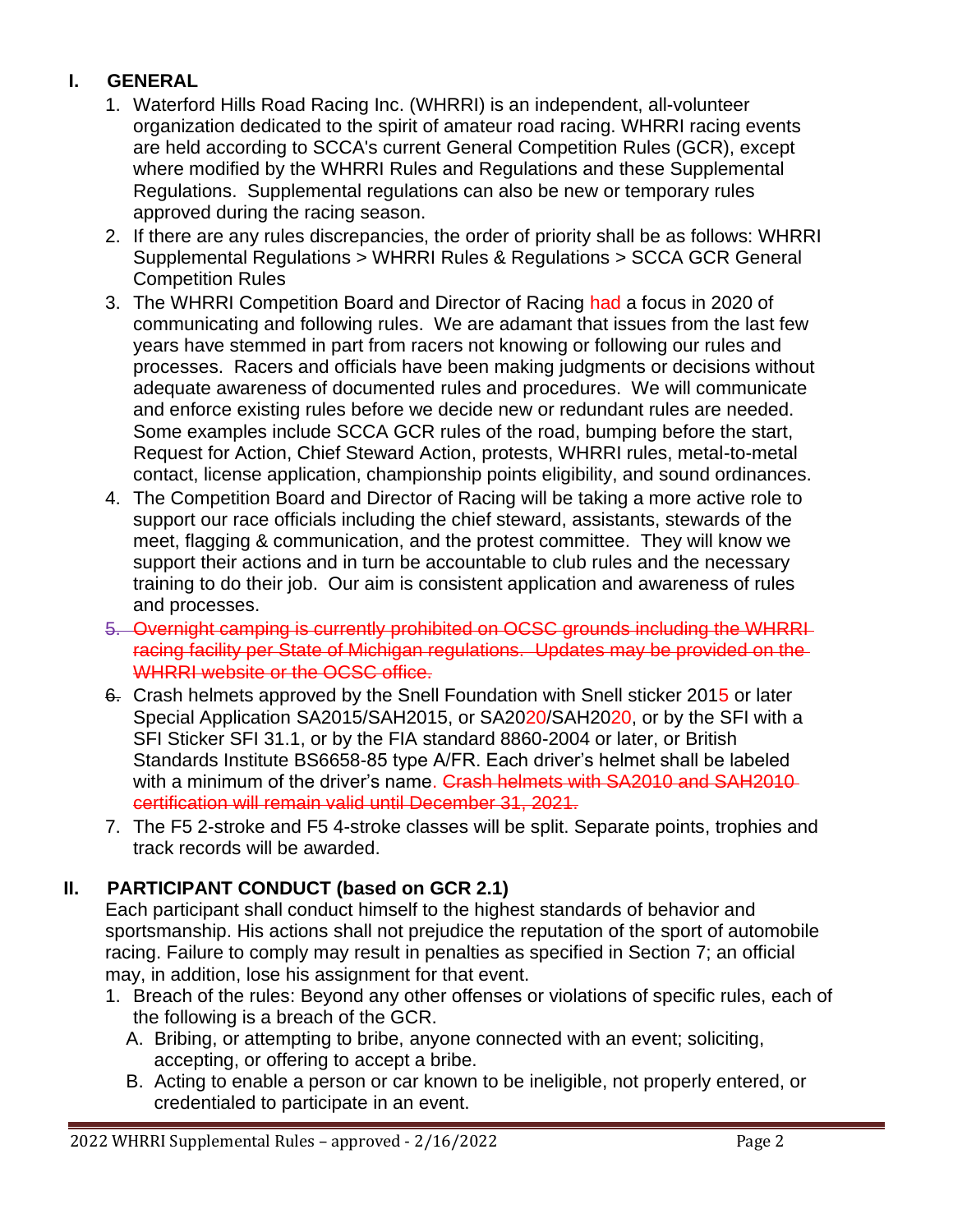# **I. GENERAL**

- 1. Waterford Hills Road Racing Inc. (WHRRI) is an independent, all-volunteer organization dedicated to the spirit of amateur road racing. WHRRI racing events are held according to SCCA's current General Competition Rules (GCR), except where modified by the WHRRI Rules and Regulations and these Supplemental Regulations. Supplemental regulations can also be new or temporary rules approved during the racing season.
- 2. If there are any rules discrepancies, the order of priority shall be as follows: WHRRI Supplemental Regulations > WHRRI Rules & Regulations > SCCA GCR General Competition Rules
- 3. The WHRRI Competition Board and Director of Racing had a focus in 2020 of communicating and following rules. We are adamant that issues from the last few years have stemmed in part from racers not knowing or following our rules and processes. Racers and officials have been making judgments or decisions without adequate awareness of documented rules and procedures. We will communicate and enforce existing rules before we decide new or redundant rules are needed. Some examples include SCCA GCR rules of the road, bumping before the start, Request for Action, Chief Steward Action, protests, WHRRI rules, metal-to-metal contact, license application, championship points eligibility, and sound ordinances.
- 4. The Competition Board and Director of Racing will be taking a more active role to support our race officials including the chief steward, assistants, stewards of the meet, flagging & communication, and the protest committee. They will know we support their actions and in turn be accountable to club rules and the necessary training to do their job. Our aim is consistent application and awareness of rules and processes.
- 5. Overnight camping is currently prohibited on OCSC grounds including the WHRRI racing facility per State of Michigan regulations. Updates may be provided on the WHRRI website or the OCSC office.
- 6. Crash helmets approved by the Snell Foundation with Snell sticker 2015 or later Special Application SA2015/SAH2015, or SA2020/SAH2020, or by the SFI with a SFI Sticker SFI 31.1, or by the FIA standard 8860-2004 or later, or British Standards Institute BS6658-85 type A/FR. Each driver's helmet shall be labeled with a minimum of the driver's name. Crash helmets with SA2010 and SAH2010 certification will remain valid until December 31, 2021.
- 7. The F5 2-stroke and F5 4-stroke classes will be split. Separate points, trophies and track records will be awarded.

#### **II. PARTICIPANT CONDUCT (based on GCR 2.1)**

Each participant shall conduct himself to the highest standards of behavior and sportsmanship. His actions shall not prejudice the reputation of the sport of automobile racing. Failure to comply may result in penalties as specified in Section 7; an official may, in addition, lose his assignment for that event.

- 1. Breach of the rules: Beyond any other offenses or violations of specific rules, each of the following is a breach of the GCR.
	- A. Bribing, or attempting to bribe, anyone connected with an event; soliciting, accepting, or offering to accept a bribe.
	- B. Acting to enable a person or car known to be ineligible, not properly entered, or credentialed to participate in an event.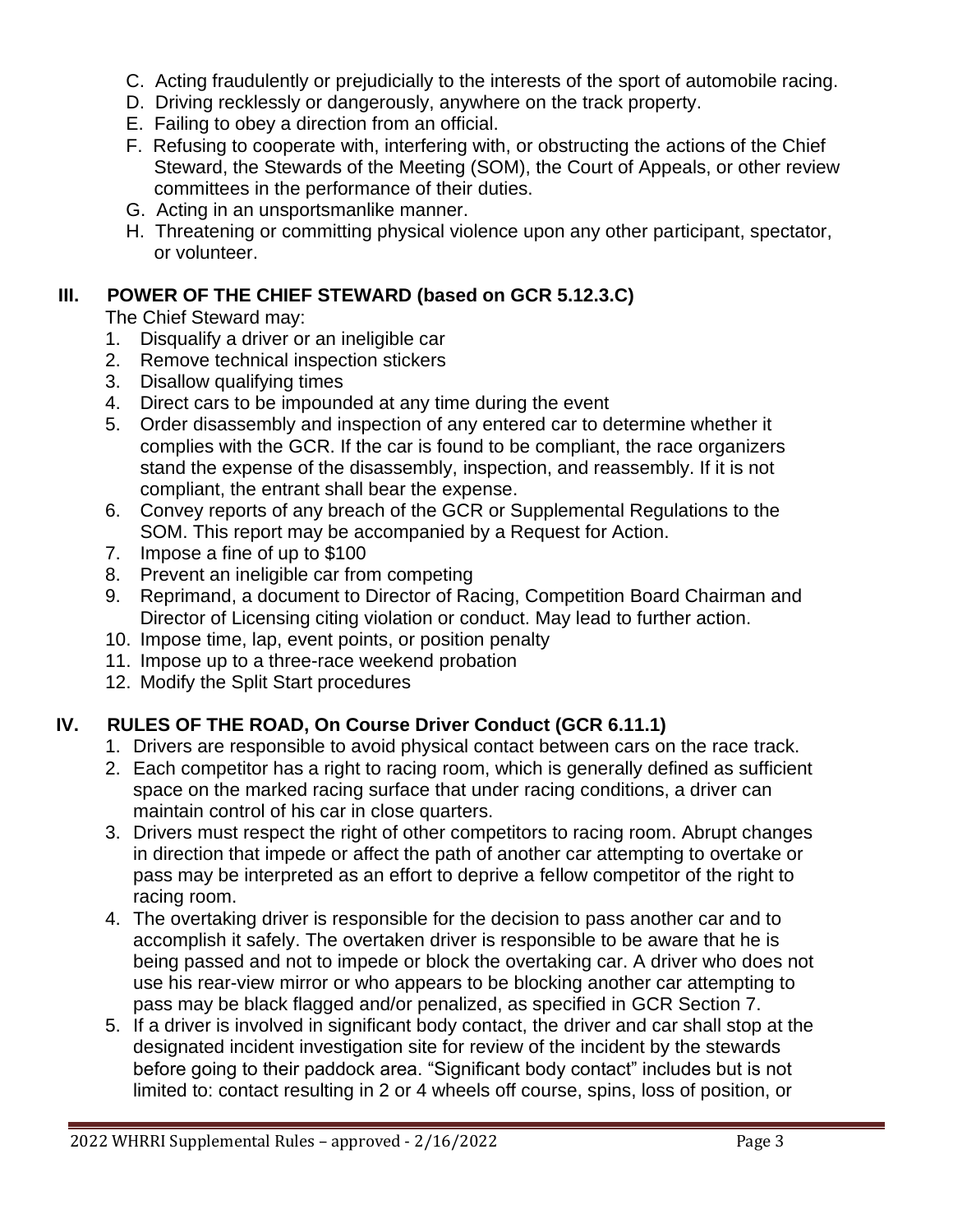- C. Acting fraudulently or prejudicially to the interests of the sport of automobile racing.
- D. Driving recklessly or dangerously, anywhere on the track property.
- E. Failing to obey a direction from an official.
- F. Refusing to cooperate with, interfering with, or obstructing the actions of the Chief Steward, the Stewards of the Meeting (SOM), the Court of Appeals, or other review committees in the performance of their duties.
- G. Acting in an unsportsmanlike manner.
- H. Threatening or committing physical violence upon any other participant, spectator, or volunteer.

#### **III. POWER OF THE CHIEF STEWARD (based on GCR 5.12.3.C)**

The Chief Steward may:

- 1. Disqualify a driver or an ineligible car
- 2. Remove technical inspection stickers
- 3. Disallow qualifying times
- 4. Direct cars to be impounded at any time during the event
- 5. Order disassembly and inspection of any entered car to determine whether it complies with the GCR. If the car is found to be compliant, the race organizers stand the expense of the disassembly, inspection, and reassembly. If it is not compliant, the entrant shall bear the expense.
- 6. Convey reports of any breach of the GCR or Supplemental Regulations to the SOM. This report may be accompanied by a Request for Action.
- 7. Impose a fine of up to \$100
- 8. Prevent an ineligible car from competing
- 9. Reprimand, a document to Director of Racing, Competition Board Chairman and Director of Licensing citing violation or conduct. May lead to further action.
- 10. Impose time, lap, event points, or position penalty
- 11. Impose up to a three-race weekend probation
- 12. Modify the Split Start procedures

# **IV. RULES OF THE ROAD, On Course Driver Conduct (GCR 6.11.1)**

- 1. Drivers are responsible to avoid physical contact between cars on the race track.
- 2. Each competitor has a right to racing room, which is generally defined as sufficient space on the marked racing surface that under racing conditions, a driver can maintain control of his car in close quarters.
- 3. Drivers must respect the right of other competitors to racing room. Abrupt changes in direction that impede or affect the path of another car attempting to overtake or pass may be interpreted as an effort to deprive a fellow competitor of the right to racing room.
- 4. The overtaking driver is responsible for the decision to pass another car and to accomplish it safely. The overtaken driver is responsible to be aware that he is being passed and not to impede or block the overtaking car. A driver who does not use his rear-view mirror or who appears to be blocking another car attempting to pass may be black flagged and/or penalized, as specified in GCR Section 7.
- 5. If a driver is involved in significant body contact, the driver and car shall stop at the designated incident investigation site for review of the incident by the stewards before going to their paddock area. "Significant body contact" includes but is not limited to: contact resulting in 2 or 4 wheels off course, spins, loss of position, or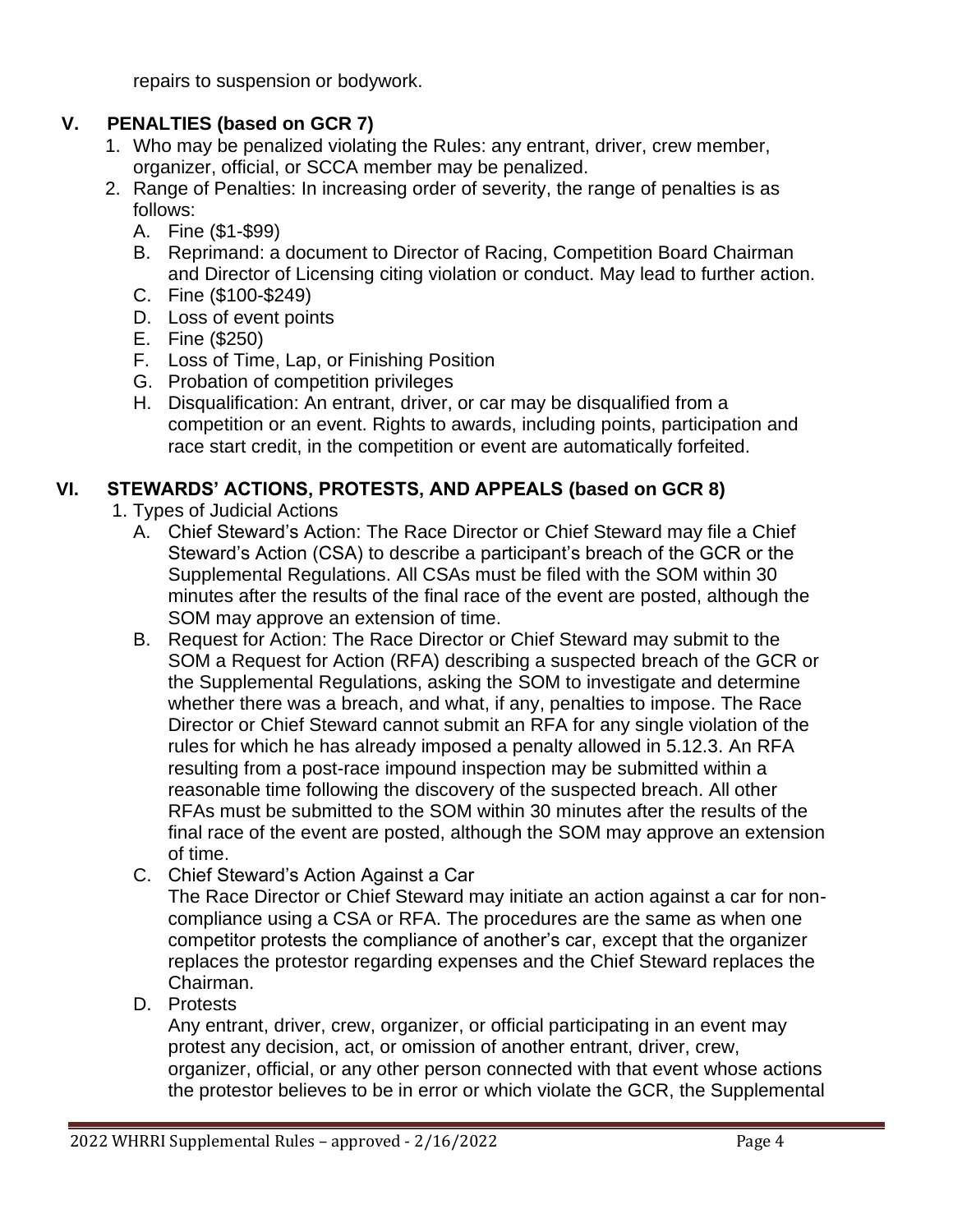repairs to suspension or bodywork.

### **V. PENALTIES (based on GCR 7)**

- 1. Who may be penalized violating the Rules: any entrant, driver, crew member, organizer, official, or SCCA member may be penalized.
- 2. Range of Penalties: In increasing order of severity, the range of penalties is as follows:
	- A. Fine (\$1-\$99)
	- B. Reprimand: a document to Director of Racing, Competition Board Chairman and Director of Licensing citing violation or conduct. May lead to further action.
	- C. Fine (\$100-\$249)
	- D. Loss of event points
	- E. Fine (\$250)
	- F. Loss of Time, Lap, or Finishing Position
	- G. Probation of competition privileges
	- H. Disqualification: An entrant, driver, or car may be disqualified from a competition or an event. Rights to awards, including points, participation and race start credit, in the competition or event are automatically forfeited.

#### **VI. STEWARDS' ACTIONS, PROTESTS, AND APPEALS (based on GCR 8)**

- 1. Types of Judicial Actions
	- A. Chief Steward's Action: The Race Director or Chief Steward may file a Chief Steward's Action (CSA) to describe a participant's breach of the GCR or the Supplemental Regulations. All CSAs must be filed with the SOM within 30 minutes after the results of the final race of the event are posted, although the SOM may approve an extension of time.
	- B. Request for Action: The Race Director or Chief Steward may submit to the SOM a Request for Action (RFA) describing a suspected breach of the GCR or the Supplemental Regulations, asking the SOM to investigate and determine whether there was a breach, and what, if any, penalties to impose. The Race Director or Chief Steward cannot submit an RFA for any single violation of the rules for which he has already imposed a penalty allowed in 5.12.3. An RFA resulting from a post-race impound inspection may be submitted within a reasonable time following the discovery of the suspected breach. All other RFAs must be submitted to the SOM within 30 minutes after the results of the final race of the event are posted, although the SOM may approve an extension of time.
	- C. Chief Steward's Action Against a Car

The Race Director or Chief Steward may initiate an action against a car for noncompliance using a CSA or RFA. The procedures are the same as when one competitor protests the compliance of another's car, except that the organizer replaces the protestor regarding expenses and the Chief Steward replaces the Chairman.

D. Protests

Any entrant, driver, crew, organizer, or official participating in an event may protest any decision, act, or omission of another entrant, driver, crew, organizer, official, or any other person connected with that event whose actions the protestor believes to be in error or which violate the GCR, the Supplemental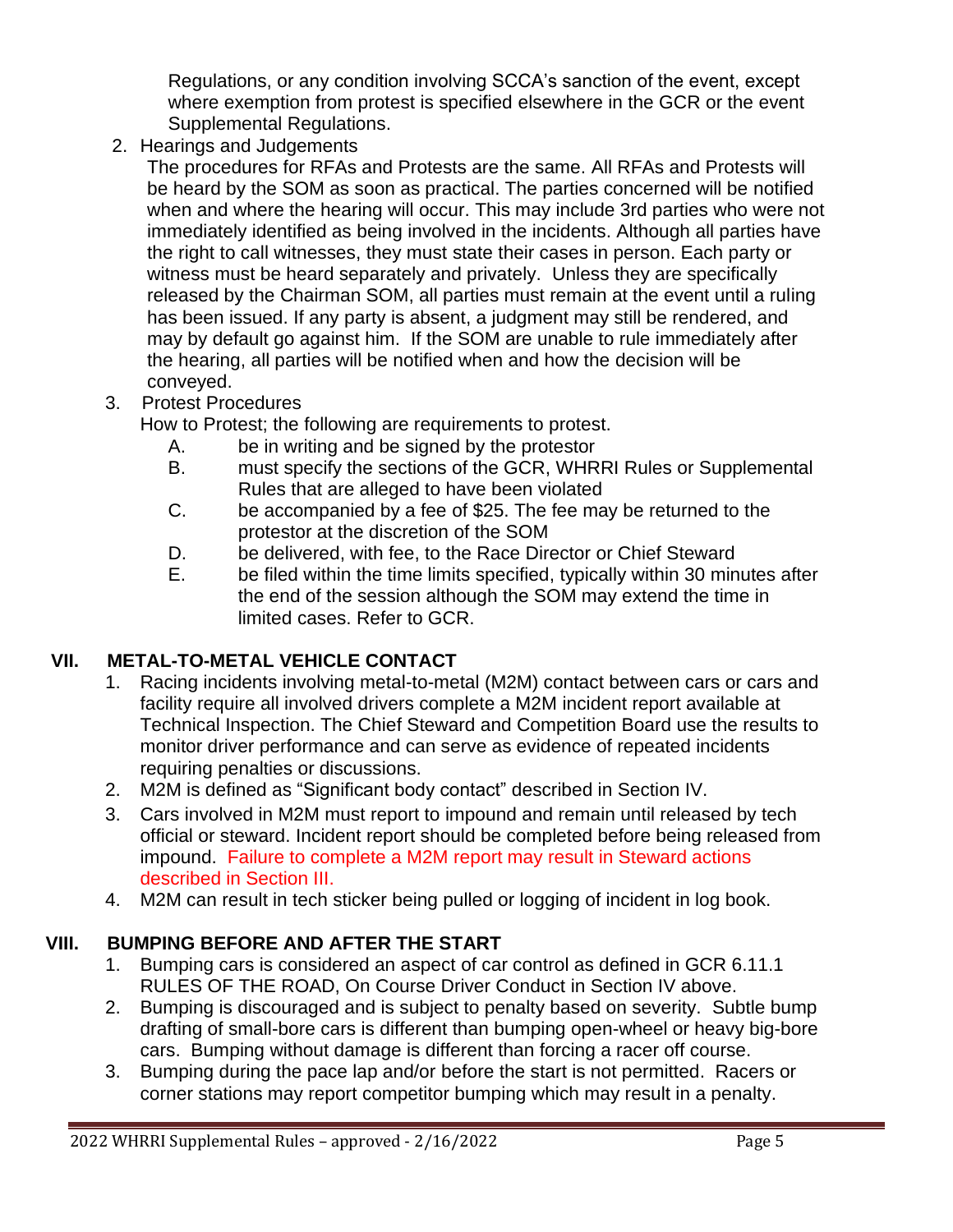Regulations, or any condition involving SCCA's sanction of the event, except where exemption from protest is specified elsewhere in the GCR or the event Supplemental Regulations.

2. Hearings and Judgements

The procedures for RFAs and Protests are the same. All RFAs and Protests will be heard by the SOM as soon as practical. The parties concerned will be notified when and where the hearing will occur. This may include 3rd parties who were not immediately identified as being involved in the incidents. Although all parties have the right to call witnesses, they must state their cases in person. Each party or witness must be heard separately and privately. Unless they are specifically released by the Chairman SOM, all parties must remain at the event until a ruling has been issued. If any party is absent, a judgment may still be rendered, and may by default go against him. If the SOM are unable to rule immediately after the hearing, all parties will be notified when and how the decision will be conveyed.

3. Protest Procedures

How to Protest; the following are requirements to protest.

- A. be in writing and be signed by the protestor
- B. must specify the sections of the GCR, WHRRI Rules or Supplemental Rules that are alleged to have been violated
- C. be accompanied by a fee of \$25. The fee may be returned to the protestor at the discretion of the SOM
- D. be delivered, with fee, to the Race Director or Chief Steward
- E. be filed within the time limits specified, typically within 30 minutes after the end of the session although the SOM may extend the time in limited cases. Refer to GCR.

# **VII. METAL-TO-METAL VEHICLE CONTACT**

- 1. Racing incidents involving metal-to-metal (M2M) contact between cars or cars and facility require all involved drivers complete a M2M incident report available at Technical Inspection. The Chief Steward and Competition Board use the results to monitor driver performance and can serve as evidence of repeated incidents requiring penalties or discussions.
- 2. M2M is defined as "Significant body contact" described in Section IV.
- 3. Cars involved in M2M must report to impound and remain until released by tech official or steward. Incident report should be completed before being released from impound. Failure to complete a M2M report may result in Steward actions described in Section III.
- 4. M2M can result in tech sticker being pulled or logging of incident in log book.

# **VIII. BUMPING BEFORE AND AFTER THE START**

- 1. Bumping cars is considered an aspect of car control as defined in GCR 6.11.1 RULES OF THE ROAD, On Course Driver Conduct in Section IV above.
- 2. Bumping is discouraged and is subject to penalty based on severity. Subtle bump drafting of small-bore cars is different than bumping open-wheel or heavy big-bore cars. Bumping without damage is different than forcing a racer off course.
- 3. Bumping during the pace lap and/or before the start is not permitted. Racers or corner stations may report competitor bumping which may result in a penalty.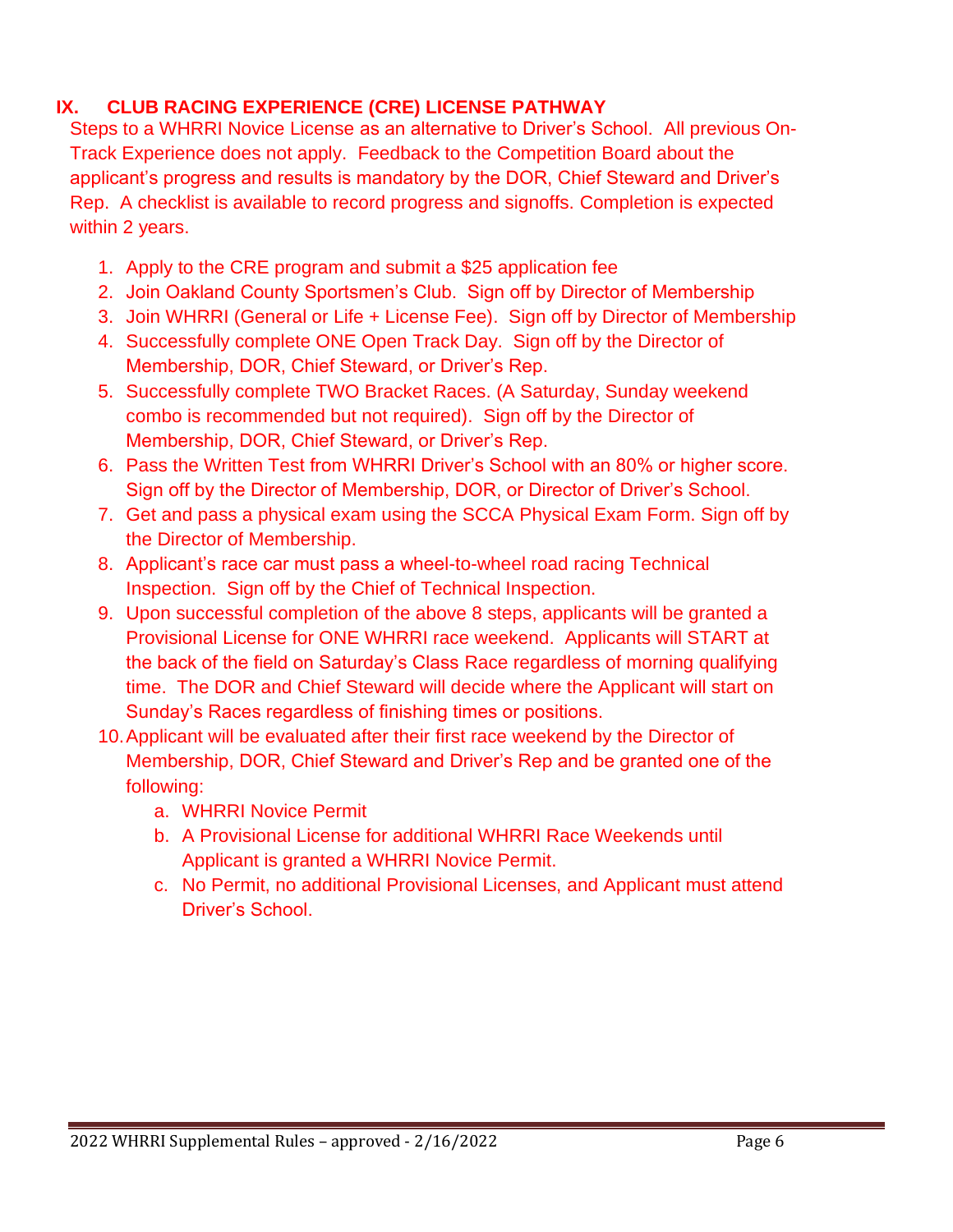### **IX. CLUB RACING EXPERIENCE (CRE) LICENSE PATHWAY**

Steps to a WHRRI Novice License as an alternative to Driver's School. All previous On-Track Experience does not apply. Feedback to the Competition Board about the applicant's progress and results is mandatory by the DOR, Chief Steward and Driver's Rep. A checklist is available to record progress and signoffs. Completion is expected within 2 years.

- 1. Apply to the CRE program and submit a \$25 application fee
- 2. Join Oakland County Sportsmen's Club. Sign off by Director of Membership
- 3. Join WHRRI (General or Life + License Fee). Sign off by Director of Membership
- 4. Successfully complete ONE Open Track Day. Sign off by the Director of Membership, DOR, Chief Steward, or Driver's Rep.
- 5. Successfully complete TWO Bracket Races. (A Saturday, Sunday weekend combo is recommended but not required). Sign off by the Director of Membership, DOR, Chief Steward, or Driver's Rep.
- 6. Pass the Written Test from WHRRI Driver's School with an 80% or higher score. Sign off by the Director of Membership, DOR, or Director of Driver's School.
- 7. Get and pass a physical exam using the SCCA Physical Exam Form. Sign off by the Director of Membership.
- 8. Applicant's race car must pass a wheel-to-wheel road racing Technical Inspection. Sign off by the Chief of Technical Inspection.
- 9. Upon successful completion of the above 8 steps, applicants will be granted a Provisional License for ONE WHRRI race weekend. Applicants will START at the back of the field on Saturday's Class Race regardless of morning qualifying time. The DOR and Chief Steward will decide where the Applicant will start on Sunday's Races regardless of finishing times or positions.
- 10.Applicant will be evaluated after their first race weekend by the Director of Membership, DOR, Chief Steward and Driver's Rep and be granted one of the following:
	- a. WHRRI Novice Permit
	- b. A Provisional License for additional WHRRI Race Weekends until Applicant is granted a WHRRI Novice Permit.
	- c. No Permit, no additional Provisional Licenses, and Applicant must attend Driver's School.